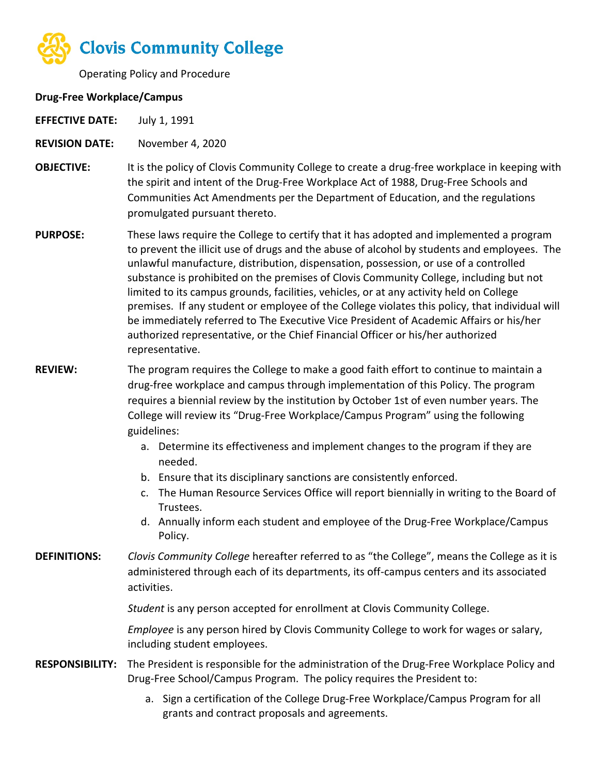

Operating Policy and Procedure

## **Drug-Free Workplace/Campus**

**EFFECTIVE DATE:** July 1, 1991

**REVISION DATE:** November 4, 2020

- **OBJECTIVE:** It is the policy of Clovis Community College to create a drug-free workplace in keeping with the spirit and intent of the Drug-Free Workplace Act of 1988, Drug-Free Schools and Communities Act Amendments per the Department of Education, and the regulations promulgated pursuant thereto.
- **PURPOSE:** These laws require the College to certify that it has adopted and implemented a program to prevent the illicit use of drugs and the abuse of alcohol by students and employees. The unlawful manufacture, distribution, dispensation, possession, or use of a controlled substance is prohibited on the premises of Clovis Community College, including but not limited to its campus grounds, facilities, vehicles, or at any activity held on College premises. If any student or employee of the College violates this policy, that individual will be immediately referred to The Executive Vice President of Academic Affairs or his/her authorized representative, or the Chief Financial Officer or his/her authorized representative.
- **REVIEW:** The program requires the College to make a good faith effort to continue to maintain a drug-free workplace and campus through implementation of this Policy. The program requires a biennial review by the institution by October 1st of even number years. The College will review its "Drug-Free Workplace/Campus Program" using the following guidelines:
	- a. Determine its effectiveness and implement changes to the program if they are needed.
	- b. Ensure that its disciplinary sanctions are consistently enforced.
	- c. The Human Resource Services Office will report biennially in writing to the Board of Trustees.
	- d. Annually inform each student and employee of the Drug-Free Workplace/Campus Policy.
- **DEFINITIONS:** *Clovis Community College* hereafter referred to as "the College", means the College as it is administered through each of its departments, its off-campus centers and its associated activities.

*Student* is any person accepted for enrollment at Clovis Community College.

*Employee* is any person hired by Clovis Community College to work for wages or salary, including student employees.

- **RESPONSIBILITY:** The President is responsible for the administration of the Drug-Free Workplace Policy and Drug-Free School/Campus Program. The policy requires the President to:
	- a. Sign a certification of the College Drug-Free Workplace/Campus Program for all grants and contract proposals and agreements.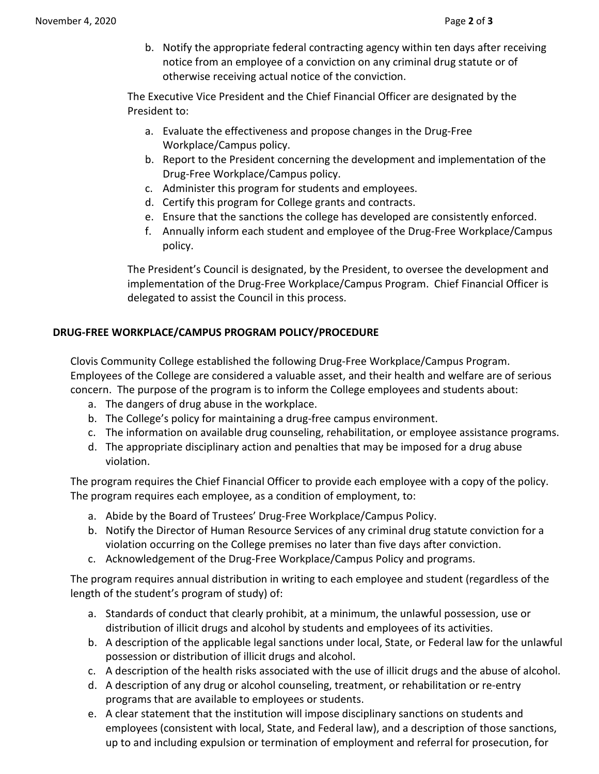b. Notify the appropriate federal contracting agency within ten days after receiving notice from an employee of a conviction on any criminal drug statute or of otherwise receiving actual notice of the conviction.

The Executive Vice President and the Chief Financial Officer are designated by the President to:

- a. Evaluate the effectiveness and propose changes in the Drug-Free Workplace/Campus policy.
- b. Report to the President concerning the development and implementation of the Drug-Free Workplace/Campus policy.
- c. Administer this program for students and employees.
- d. Certify this program for College grants and contracts.
- e. Ensure that the sanctions the college has developed are consistently enforced.
- f. Annually inform each student and employee of the Drug-Free Workplace/Campus policy.

The President's Council is designated, by the President, to oversee the development and implementation of the Drug-Free Workplace/Campus Program. Chief Financial Officer is delegated to assist the Council in this process.

## **DRUG-FREE WORKPLACE/CAMPUS PROGRAM POLICY/PROCEDURE**

Clovis Community College established the following Drug-Free Workplace/Campus Program. Employees of the College are considered a valuable asset, and their health and welfare are of serious concern. The purpose of the program is to inform the College employees and students about:

- a. The dangers of drug abuse in the workplace.
- b. The College's policy for maintaining a drug-free campus environment.
- c. The information on available drug counseling, rehabilitation, or employee assistance programs.
- d. The appropriate disciplinary action and penalties that may be imposed for a drug abuse violation.

The program requires the Chief Financial Officer to provide each employee with a copy of the policy. The program requires each employee, as a condition of employment, to:

- a. Abide by the Board of Trustees' Drug-Free Workplace/Campus Policy.
- b. Notify the Director of Human Resource Services of any criminal drug statute conviction for a violation occurring on the College premises no later than five days after conviction.
- c. Acknowledgement of the Drug-Free Workplace/Campus Policy and programs.

The program requires annual distribution in writing to each employee and student (regardless of the length of the student's program of study) of:

- a. Standards of conduct that clearly prohibit, at a minimum, the unlawful possession, use or distribution of illicit drugs and alcohol by students and employees of its activities.
- b. A description of the applicable legal sanctions under local, State, or Federal law for the unlawful possession or distribution of illicit drugs and alcohol.
- c. A description of the health risks associated with the use of illicit drugs and the abuse of alcohol.
- d. A description of any drug or alcohol counseling, treatment, or rehabilitation or re-entry programs that are available to employees or students.
- e. A clear statement that the institution will impose disciplinary sanctions on students and employees (consistent with local, State, and Federal law), and a description of those sanctions, up to and including expulsion or termination of employment and referral for prosecution, for